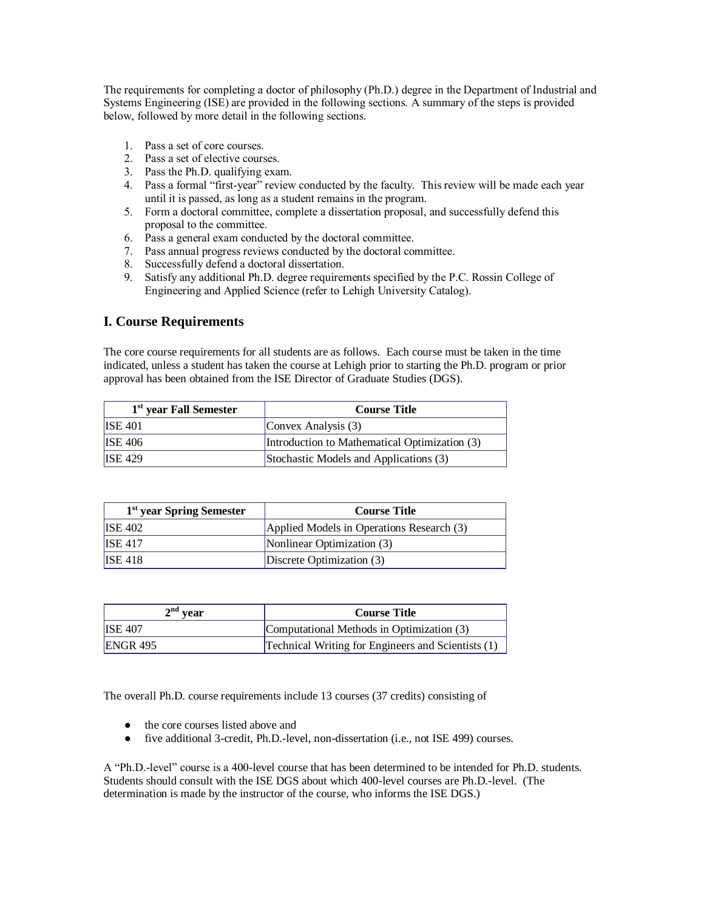The requirements for completing a doctor of philosophy (Ph.D.) degree in the Department of Industrial and Systems Engineering (ISE) are provided in the following sections. A summary of the steps is provided below, followed by more detail in the following sections.

- 1. Pass a set of core courses.
- 2. Pass a set of elective courses.
- 3. Pass the Ph.D. qualifying exam.
- 4. Pass a formal "first-year" review conducted by the faculty. This review will be made each year until it is passed, as long as a student remains in the program.
- 5. Form a doctoral committee, complete a dissertation proposal, and successfully defend this proposal to the committee.
- 6. Pass a general exam conducted by the doctoral committee.
- 7. Pass annual progress reviews conducted by the doctoral committee.
- 8. Successfully defend a doctoral dissertation.
- 9. Satisfy any additional Ph.D. degree requirements specified by the P.C. Rossin College of Engineering and Applied Science (refer to Lehigh University Catalog).

## **I. Course Requirements**

The core course requirements for all students are as follows. Each course must be taken in the time indicated, unless a student has taken the course at Lehigh prior to starting the Ph.D. program or prior approval has been obtained from the ISE Director of Graduate Studies (DGS).

| 1 <sup>st</sup> year Fall Semester | <b>Course Title</b>                           |
|------------------------------------|-----------------------------------------------|
| <b>ISE 401</b>                     | Convex Analysis (3)                           |
| ISE 406                            | Introduction to Mathematical Optimization (3) |
| <b>ISE 429</b>                     | Stochastic Models and Applications (3)        |

| 1 <sup>st</sup> year Spring Semester | <b>Course Title</b>                       |
|--------------------------------------|-------------------------------------------|
| <b>ISE 402</b>                       | Applied Models in Operations Research (3) |
| <b>ISE 417</b>                       | Nonlinear Optimization (3)                |
| ISE <sub>418</sub>                   | Discrete Optimization (3)                 |

| $2nd$ vear          | <b>Course Title</b>                                |
|---------------------|----------------------------------------------------|
| <b>ISE 407</b>      | Computational Methods in Optimization (3)          |
| ENGR <sub>495</sub> | Technical Writing for Engineers and Scientists (1) |

The overall Ph.D. course requirements include 13 courses (37 credits) consisting of

- the core courses listed above and
- five additional 3-credit, Ph.D.-level, non-dissertation (i.e., not ISE 499) courses.

A "Ph.D.-level" course is a 400-level course that has been determined to be intended for Ph.D. students. Students should consult with the ISE DGS about which 400-level courses are Ph.D.-level. (The determination is made by the instructor of the course, who informs the ISE DGS.)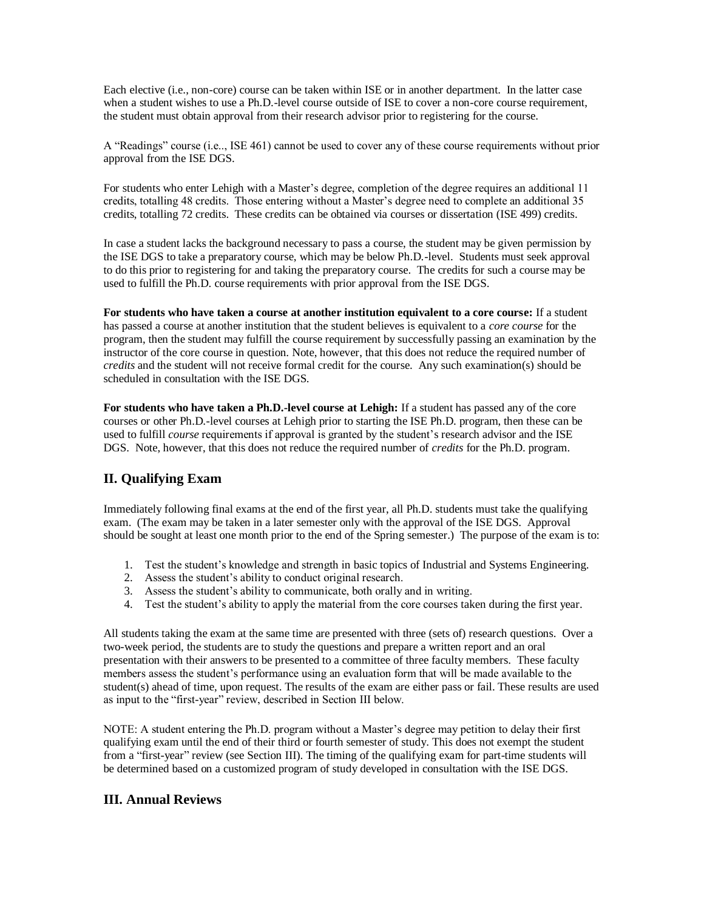Each elective (i.e., non-core) course can be taken within ISE or in another department. In the latter case when a student wishes to use a Ph.D.-level course outside of ISE to cover a non-core course requirement, the student must obtain approval from their research advisor prior to registering for the course.

A "Readings" course (i.e.., ISE 461) cannot be used to cover any of these course requirements without prior approval from the ISE DGS.

For students who enter Lehigh with a Master's degree, completion of the degree requires an additional 11 credits, totalling 48 credits. Those entering without a Master's degree need to complete an additional 35 credits, totalling 72 credits. These credits can be obtained via courses or dissertation (ISE 499) credits.

In case a student lacks the background necessary to pass a course, the student may be given permission by the ISE DGS to take a preparatory course, which may be below Ph.D.-level. Students must seek approval to do this prior to registering for and taking the preparatory course. The credits for such a course may be used to fulfill the Ph.D. course requirements with prior approval from the ISE DGS.

**For students who have taken a course at another institution equivalent to a core course:** If a student has passed a course at another institution that the student believes is equivalent to a *core course* for the program, then the student may fulfill the course requirement by successfully passing an examination by the instructor of the core course in question. Note, however, that this does not reduce the required number of *credits* and the student will not receive formal credit for the course. Any such examination(s) should be scheduled in consultation with the ISE DGS.

**For students who have taken a Ph.D.-level course at Lehigh:** If a student has passed any of the core courses or other Ph.D.-level courses at Lehigh prior to starting the ISE Ph.D. program, then these can be used to fulfill *course* requirements if approval is granted by the student's research advisor and the ISE DGS. Note, however, that this does not reduce the required number of *credits* for the Ph.D. program.

# **II. Qualifying Exam**

Immediately following final exams at the end of the first year, all Ph.D. students must take the qualifying exam. (The exam may be taken in a later semester only with the approval of the ISE DGS. Approval should be sought at least one month prior to the end of the Spring semester.) The purpose of the exam is to:

- 1. Test the student's knowledge and strength in basic topics of Industrial and Systems Engineering.
- 2. Assess the student's ability to conduct original research.
- 3. Assess the student's ability to communicate, both orally and in writing.
- 4. Test the student's ability to apply the material from the core courses taken during the first year.

All students taking the exam at the same time are presented with three (sets of) research questions. Over a two-week period, the students are to study the questions and prepare a written report and an oral presentation with their answers to be presented to a committee of three faculty members. These faculty members assess the student's performance using an evaluation form that will be made available to the student(s) ahead of time, upon request. The results of the exam are either pass or fail. These results are used as input to the "first-year" review, described in Section III below.

NOTE: A student entering the Ph.D. program without a Master's degree may petition to delay their first qualifying exam until the end of their third or fourth semester of study. This does not exempt the student from a "first-year" review (see Section III). The timing of the qualifying exam for part-time students will be determined based on a customized program of study developed in consultation with the ISE DGS.

### **III. Annual Reviews**